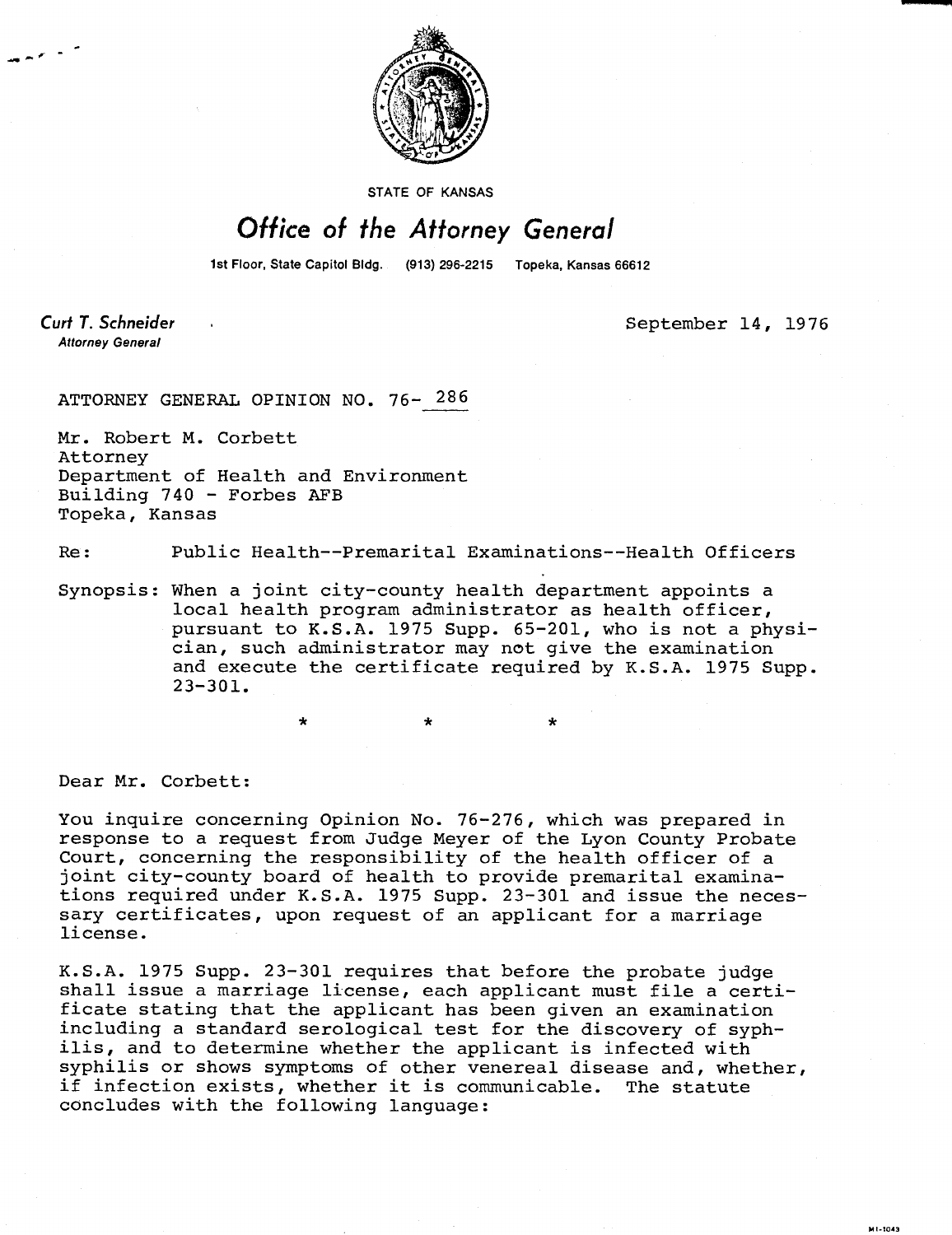

STATE OF KANSAS

## Office of the Attorney General

1st Floor, State Capitol Bldg. (913) 296-2215 Topeka, Kansas 66612

Curt T. Schneider **Attorney General** 

September 14, 1976

ATTORNEY GENERAL OPINION NO. 76- 286

Mr. Robert M. Corbett Attorney Department of Health and Environment Building 740 - Forbes AFB Topeka, Kansas

Re: Public Health--Premarital Examinations--Health Officers

Synopsis: When a joint city-county health department appoints a local health program administrator as health officer, pursuant to K.S.A. 1975 Supp. 65-201, who is not a physician, such administrator may not give the examination and execute the certificate required by K.S.A. 1975 Supp. 23-301.

Dear Mr. Corbett:

You inquire concerning Opinion No. 76-276, which was prepared in response to a request from Judge Meyer of the Lyon County Probate Court, concerning the responsibility of the health officer of a joint city-county board of health to provide premarital examinations required under K.S.A. 1975 Supp. 23-301 and issue the necessary certificates, upon request of an applicant for a marriage license.

K.S.A. 1975 Supp. 23-301 requires that before the probate judge shall issue a marriage license, each applicant must file a certificate stating that the applicant has been given an examination including a standard serological test for the discovery of syphilis, and to determine whether the applicant is infected with syphilis or shows symptoms of other venereal disease and, whether, if infection exists, whether it is communicable. The statute concludes with the following language: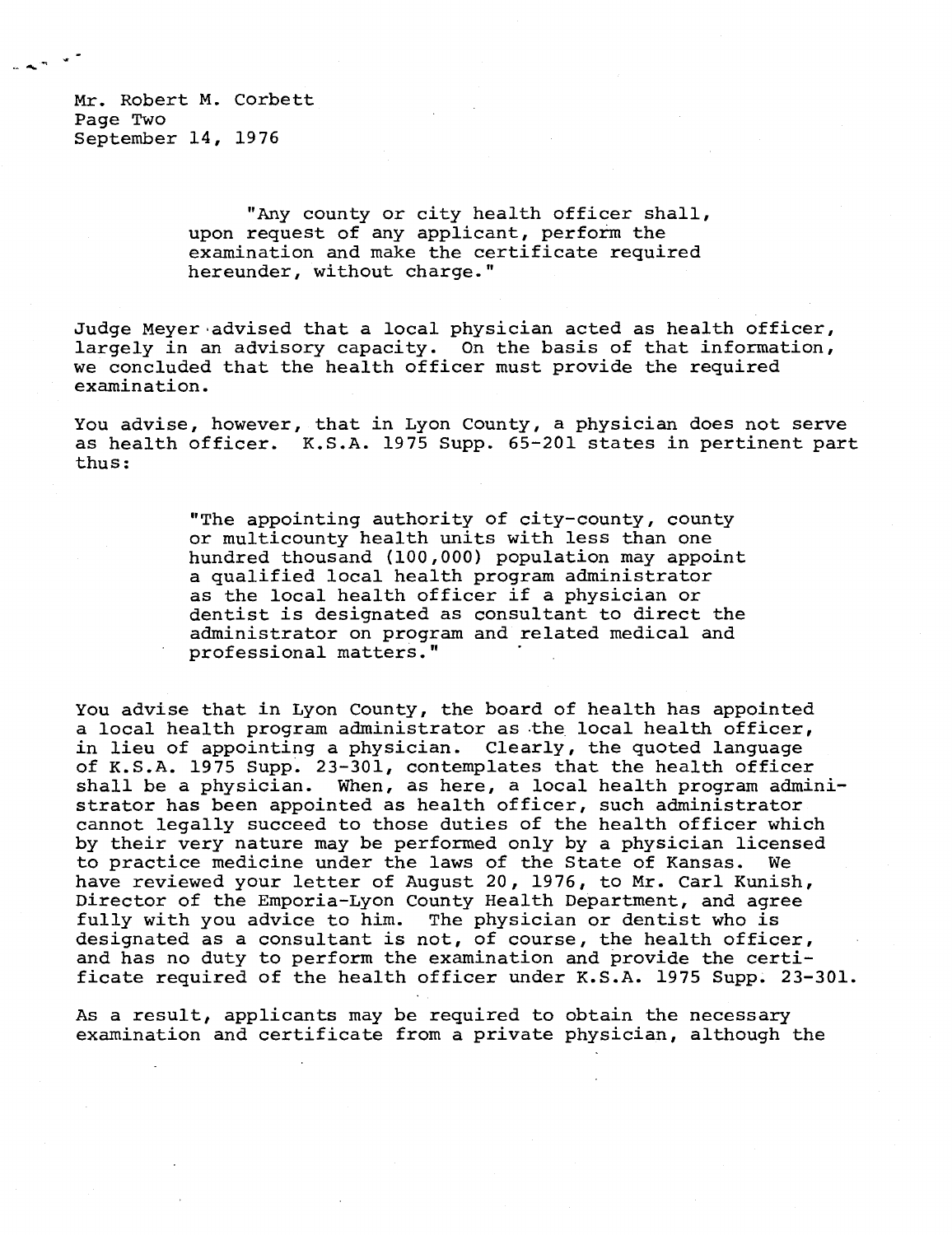Mr. Robert M. Corbett Page Two September 14, 1976

> "Any county or city health officer shall, upon request of any applicant, perform the examination and make the certificate required hereunder, without charge."

Judge Meyer advised that a local physician acted as health officer, largely in an advisory capacity. On the basis of that information, we concluded that the health officer must provide the required examination.

You advise, however, that in Lyon County, a physician does not serve as health officer. K.S.A. 1975 Supp. 65-201 states in pertinent part thus:

> "The appointing authority of city-county, county or multicounty health units with less than one hundred thousand (100,000) population may appoint a qualified local health program administrator as the local health officer if a physician or dentist is designated as consultant to direct the administrator on program and related medical and professional matters."

You advise that in Lyon County, the board of health has appointed a local health program administrator as the local health officer, in lieu of appointing a physician. Clearly, the quoted language of K.S.A. 1975 Supp. 23-301, contemplates that the health officer shall be a physician. When, as here, a local health program administrator has been appointed as health officer, such administrator cannot legally succeed to those duties of the health officer which by their very nature may be performed only by a physician licensed to practice medicine under the laws of the State of Kansas. We have reviewed your letter of August 20, 1976, to Mr. Carl Kunish, Director of the Emporia-Lyon County Health Department, and agree fully with you advice to him. The physician or dentist who is designated as a consultant is not, of course, the health officer, and has no duty to perform the examination and provide the certificate required of the health officer under K.S.A. 1975 Supp. 23-301.

As a result, applicants may be required to obtain the necessary examination and certificate from a private physician, although the